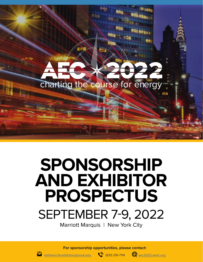

# **SPONSORSHIP AND EXHIBITOR PROSPECTUS** SEPTEMBER 7-9, 2022

Marriott Marquis | New York City

**For sponsorship opportunities, please contact:**



kathleen.ferrell@stonybrook.edu (631) 216-7114 (Rec2022.aertc.org

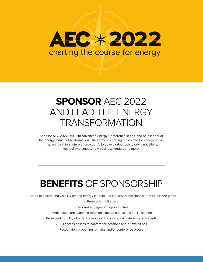# EC X 2022 charting the course for energy

## **SPONSOR** AEC 2022 AND LEAD THE ENERGY TRANSFORMATION

Sponsor AEC 2022, our 12th Advanced Energy Conference series, and be a leader of the energy industry transformation. Our theme is charting the course for energy, as we map our path to a future energy portfolio by exploring technology innovations, key policy changes, new business models and more.

## **BENEFITS** OF SPONSORSHIP

• Brand exposure and visibility among energy leaders and industry professionals from across the globe

• Premier exhibit space

• Tailored engagement opportunities

- Media exposure spanning traditional media outlets and social channels
- Prominent visibility of organization logo in conference materials and marketing
	- Full-access passes to conference sessions and/or exhibit hall
	- Recognition in opening remarks and/or conference program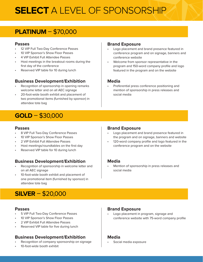# **SELECT** A LEVEL OF SPONSORSHIP

### **PLATINUM** – \$70,000

### **Passes**

- 12 VIP Full Two-Day Conference Passes
- 10 VIP Sponsor's Show Floor Passes
- 4 VIP Exhibit Full Attendee Passes
- Host meetings in the breakout rooms during the first day of the conference
- Reserved VIP table for 10 during lunch

### **Business Development/Exhibition**

- Recognition of sponsorship in opening remarks welcome letter and on all AEC signage
- 20-foot-wide booth exhibit and placement of two promotional items (furnished by sponsor) in attendee tote bag

### **GOLD** – \$30,000

### **Passes**

- 8 VIP Full Two-Day Conference Passes
- 10 VIP Sponsor's Show Floor Passes
- 2 VIP Exhibit Full Attendee Passes
- Host meetings/roundtables on the first day
- Reserved VIP table for 10 during lunch

### **Business Development/Exhibition**

- Recognition of sponsorship in welcome letter and on all AEC signage
- 10-foot-wide booth exhibit and placement of one promotional item (furnished by sponsor) in attendee tote bag

### **SILVER** – \$20,000

### **Passes**

- 5 VIP Full Two-Day Conference Passes
- 10 VIP Sponsor's Show Floor Passes
- 2 VIP Exhibit Full Attendee Passes
- Reserved VIP table for five during lunch

### **Business Development/Exhibition**

- Recognition of company sponsorship on signage
- 10-foot-wide booth exhibit

### **Brand Exposure**

- Logo placement and brand presence featured in conference program and on signage, banners and conference website
- Welcome from sponsor representative in the program and 150-word company profile and logo featured in the program and on the website

### **Media**

• Preferential press conference positioning and mention of sponsorship in press releases and social media

### **Brand Exposure**

- Logo placement and brand presence featured in the program and on signage, banners and website
- 120-word company profile and logo featured in the conference program and on the website

### **Media**

• Mention of sponsorship in press releases and social media

### **Brand Exposure**

• Logo placement in program, signage and conference website with 75-word company profile

### **Media**

• Social media exposure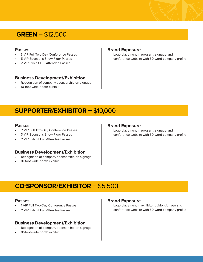### **GREEN** – \$12,500

#### **Passes**

- 3 VIP Full Two-Day Conference Passes
- 5 VIP Sponsor's Show Floor Passes
- 2 VIP Exhibit Full Attendee Passes

### **Business Development/Exhibition**

- Recognition of company sponsorship on signage
- 10-foot-wide booth exhibit

#### **Brand Exposure**

• Logo placement in program, signage and conference website with 50-word company profile

### **SUPPORTER/EXHIBITOR** – \$10,000

#### **Passes**

- 2 VIP Full Two-Day Conference Passes
- 3 VIP Sponsor's Show Floor Passes
- 2 VIP Exhibit Full Attendee Passes

#### **Business Development/Exhibition**

- Recognition of company sponsorship on signage
- 10-foot-wide booth exhibit

#### **Brand Exposure**

• Logo placement in program, signage and conference website with 50-word company profile

### **CO-SPONSOR/EXHIBITOR** – \$5,500

#### **Passes**

- 1 VIP Full Two-Day Conference Passes
- 2 VIP Exhibit Full Attendee Passes

### **Business Development/Exhibition**

- Recognition of company sponsorship on signage
- 10-foot-wide booth exhibit

#### **Brand Exposure**

• Logo placement in exhibitor guide, signage and conference website with 50-word company profile